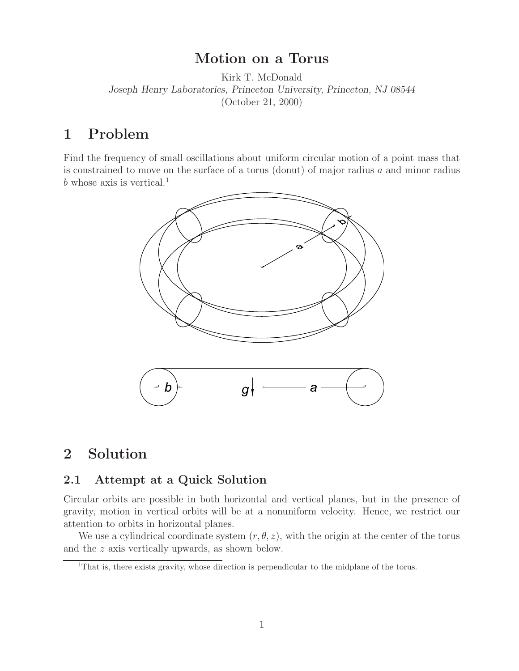**Motion on a Torus** Kirk T. McDonald *Joseph Henry Laboratories, Princeton University, Princeton, NJ 08544* (October 21, 2000)

### $\mathbf{1}$

Find the frequency of small oscillations about uniform circular motion of a point mass that is constrained to move on the surface of a torus (donut) of major radius  $a$  and minor radius  $b$  whose axis is vertical.<sup>1</sup>



# **2 Solution**

## **2.1 Attempt at a Quick Solution**

Circular orbits are possible in both horizontal and vertical planes, but in the presence of gravity, motion in vertical orbits will be at a nonuniform velocity. Hence, we restrict our attention to orbits in horizontal planes.

We use a cylindrical coordinate system  $(r, \theta, z)$ , with the origin at the center of the torus and the z axis vertically upwards, as shown below.

<sup>&</sup>lt;sup>1</sup>That is, there exists gravity, whose direction is perpendicular to the midplane of the torus.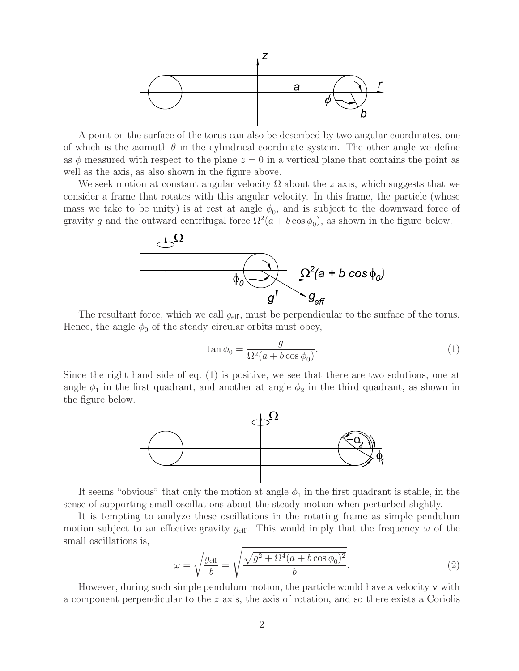

A point on the surface of the torus can also be described by two angular coordinates, one of which is the azimuth  $\theta$  in the cylindrical coordinate system. The other angle we define as  $\phi$  measured with respect to the plane  $z = 0$  in a vertical plane that contains the point as well as the axis, as also shown in the figure above.

We seek motion at constant angular velocity  $\Omega$  about the z axis, which suggests that we consider a frame that rotates with this angular velocity. In this frame, the particle (whose mass we take to be unity) is at rest at angle  $\phi_0$ , and is subject to the downward force of gravity g and the outward centrifugal force  $\Omega^2(a + b \cos \phi_0)$ , as shown in the figure below.



The resultant force, which we call  $g_{\text{eff}}$ , must be perpendicular to the surface of the torus. Hence, the angle  $\phi_0$  of the steady circular orbits must obey,

$$
\tan \phi_0 = \frac{g}{\Omega^2 (a + b \cos \phi_0)}.\tag{1}
$$

Since the right hand side of eq. (1) is positive, we see that there are two solutions, one at angle  $\phi_1$  in the first quadrant, and another at angle  $\phi_2$  in the third quadrant, as shown in the figure below.



It seems "obvious" that only the motion at angle  $\phi_1$  in the first quadrant is stable, in the sense of supporting small oscillations about the steady motion when perturbed slightly.

It is tempting to analyze these oscillations in the rotating frame as simple pendulum motion subject to an effective gravity  $g_{\text{eff}}$ . This would imply that the frequency  $\omega$  of the small oscillations is,

$$
\omega = \sqrt{\frac{g_{\text{eff}}}{b}} = \sqrt{\frac{\sqrt{g^2 + \Omega^4 (a + b \cos \phi_0)^2}}{b}}.
$$
\n(2)

However, during such simple pendulum motion, the particle would have a velocity **v** with a component perpendicular to the z axis, the axis of rotation, and so there exists a Coriolis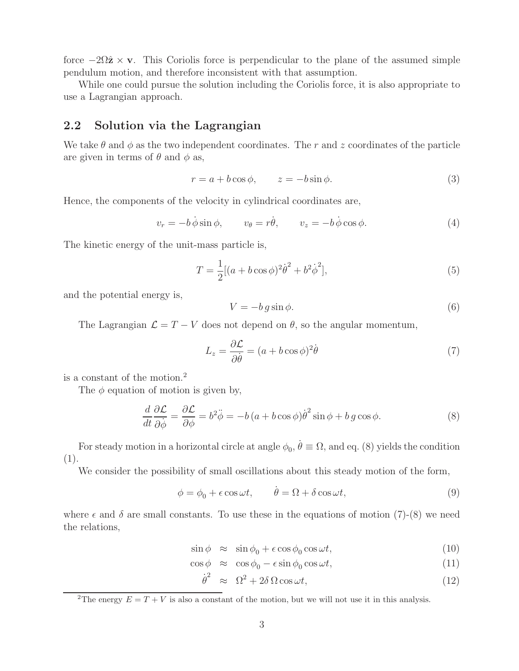force  $-2\Omega\hat{z} \times v$ . This Coriolis force is perpendicular to the plane of the assumed simple pendulum motion, and therefore inconsistent with that assumption.

While one could pursue the solution including the Coriolis force, it is also appropriate to use a Lagrangian approach.

### **2.2 Solution via the Lagrangian**

We take  $\theta$  and  $\phi$  as the two independent coordinates. The r and z coordinates of the particle are given in terms of  $\theta$  and  $\phi$  as,

$$
r = a + b \cos \phi, \qquad z = -b \sin \phi. \tag{3}
$$

Hence, the components of the velocity in cylindrical coordinates are,

$$
v_r = -b\,\dot{\phi}\sin\phi, \qquad v_\theta = r\dot{\theta}, \qquad v_z = -b\,\dot{\phi}\cos\phi. \tag{4}
$$

The kinetic energy of the unit-mass particle is,

$$
T = \frac{1}{2} [(a + b \cos \phi)^2 \dot{\theta}^2 + b^2 \dot{\phi}^2],
$$
\n(5)

and the potential energy is,

$$
V = -b \, g \sin \phi. \tag{6}
$$

The Lagrangian  $\mathcal{L} = T - V$  does not depend on  $\theta$ , so the angular momentum,

$$
L_z = \frac{\partial \mathcal{L}}{\partial \dot{\theta}} = (a + b \cos \phi)^2 \dot{\theta}
$$
 (7)

is a constant of the motion.<sup>2</sup>

The  $\phi$  equation of motion is given by,

$$
\frac{d}{dt}\frac{\partial \mathcal{L}}{\partial \dot{\phi}} = \frac{\partial \mathcal{L}}{\partial \phi} = b^2 \ddot{\phi} = -b(a + b\cos\phi)\dot{\theta}^2 \sin\phi + b g \cos\phi.
$$
 (8)

For steady motion in a horizontal circle at angle  $\phi_0$ ,  $\dot{\theta} \equiv \Omega$ , and eq. (8) yields the condition (1).

We consider the possibility of small oscillations about this steady motion of the form,

$$
\phi = \phi_0 + \epsilon \cos \omega t, \qquad \dot{\theta} = \Omega + \delta \cos \omega t, \tag{9}
$$

where  $\epsilon$  and  $\delta$  are small constants. To use these in the equations of motion (7)-(8) we need the relations,

$$
\sin \phi \approx \sin \phi_0 + \epsilon \cos \phi_0 \cos \omega t, \tag{10}
$$

 $\cos \phi \approx \cos \phi_0 - \epsilon \sin \phi_0 \cos \omega t,$ (11)

$$
\dot{\theta}^2 \approx \Omega^2 + 2\delta \Omega \cos \omega t, \qquad (12)
$$

<sup>&</sup>lt;sup>2</sup>The energy  $E = T + V$  is also a constant of the motion, but we will not use it in this analysis.